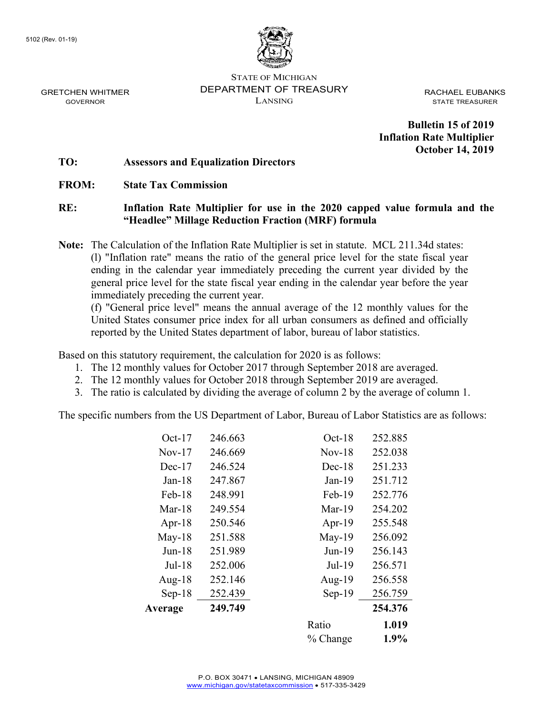

STATE OF MICHIGAN DEPARTMENT OF TREASURY LANSING

RACHAEL EUBANKS STATE TREASURER

**Bulletin 15 of 2019 Inflation Rate Multiplier October 14, 2019**

#### **TO: Assessors and Equalization Directors**

### **FROM: State Tax Commission**

## **RE: Inflation Rate Multiplier for use in the 2020 capped value formula and the "Headlee" Millage Reduction Fraction (MRF) formula**

**Note:** The Calculation of the Inflation Rate Multiplier is set in statute. MCL 211.34d states: (l) "Inflation rate" means the ratio of the general price level for the state fiscal year ending in the calendar year immediately preceding the current year divided by the general price level for the state fiscal year ending in the calendar year before the year immediately preceding the current year.

(f) "General price level" means the annual average of the 12 monthly values for the United States consumer price index for all urban consumers as defined and officially reported by the United States department of labor, bureau of labor statistics.

Based on this statutory requirement, the calculation for 2020 is as follows:

- 1. The 12 monthly values for October 2017 through September 2018 are averaged.
- 2. The 12 monthly values for October 2018 through September 2019 are averaged.
- 3. The ratio is calculated by dividing the average of column 2 by the average of column 1.

The specific numbers from the US Department of Labor, Bureau of Labor Statistics are as follows:

|           |         | % Change  | 1.9%    |
|-----------|---------|-----------|---------|
|           |         | Ratio     | 1.019   |
| Average   | 249.749 |           | 254.376 |
| $Sep-18$  | 252.439 | $Sep-19$  | 256.759 |
| Aug- $18$ | 252.146 | Aug- $19$ | 256.558 |
| $Jul-18$  | 252.006 | $Jul-19$  | 256.571 |
| $Jun-18$  | 251.989 | $Jun-19$  | 256.143 |
| $May-18$  | 251.588 | $May-19$  | 256.092 |
| Apr- $18$ | 250.546 | Apr- $19$ | 255.548 |
| Mar-18    | 249.554 | Mar-19    | 254.202 |
| Feb-18    | 248.991 | Feb-19    | 252.776 |
| $Jan-18$  | 247.867 | $Jan-19$  | 251.712 |
| $Dec-17$  | 246.524 | $Dec-18$  | 251.233 |
| Nov-17    | 246.669 | $Nov-18$  | 252.038 |
| $Oct-17$  | 246.663 | $Oct-18$  | 252.885 |